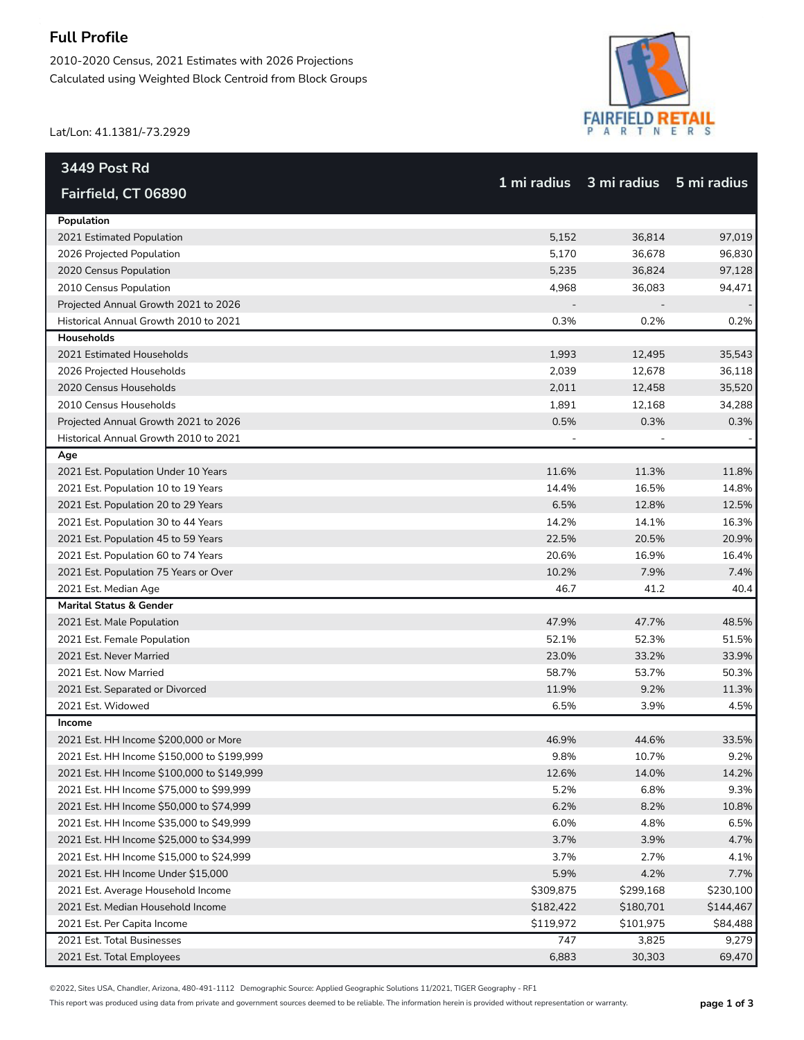## **Full Profile**

2010-2020 Census, 2021 Estimates with 2026 Projections Calculated using Weighted Block Centroid from Block Groups



Lat/Lon: 41.1381/-73.2929

| 3449 Post Rd                                         |                |                         |                |
|------------------------------------------------------|----------------|-------------------------|----------------|
| Fairfield, CT 06890                                  |                | 1 mi radius 3 mi radius | 5 mi radius    |
| Population                                           |                |                         |                |
| 2021 Estimated Population                            | 5,152          | 36,814                  | 97,019         |
| 2026 Projected Population                            | 5,170          | 36,678                  | 96,830         |
| 2020 Census Population                               | 5,235          | 36,824                  | 97,128         |
| 2010 Census Population                               | 4,968          | 36,083                  | 94,471         |
| Projected Annual Growth 2021 to 2026                 |                |                         |                |
| Historical Annual Growth 2010 to 2021                | 0.3%           | 0.2%                    | 0.2%           |
| Households                                           |                |                         |                |
| 2021 Estimated Households                            | 1,993          | 12,495                  | 35,543         |
| 2026 Projected Households                            | 2,039          | 12,678                  | 36,118         |
| 2020 Census Households                               | 2,011          | 12,458                  | 35,520         |
| 2010 Census Households                               | 1,891          | 12,168                  | 34,288         |
| Projected Annual Growth 2021 to 2026                 | 0.5%           | 0.3%                    | 0.3%           |
| Historical Annual Growth 2010 to 2021                |                |                         |                |
| Age                                                  |                |                         |                |
| 2021 Est. Population Under 10 Years                  | 11.6%          | 11.3%                   | 11.8%          |
| 2021 Est. Population 10 to 19 Years                  | 14.4%          | 16.5%                   | 14.8%          |
| 2021 Est. Population 20 to 29 Years                  | 6.5%           | 12.8%                   | 12.5%          |
| 2021 Est. Population 30 to 44 Years                  | 14.2%          | 14.1%                   | 16.3%          |
| 2021 Est. Population 45 to 59 Years                  | 22.5%          | 20.5%                   | 20.9%          |
| 2021 Est. Population 60 to 74 Years                  | 20.6%          | 16.9%                   | 16.4%          |
| 2021 Est. Population 75 Years or Over                | 10.2%          | 7.9%                    | 7.4%           |
| 2021 Est. Median Age                                 | 46.7           | 41.2                    | 40.4           |
| <b>Marital Status &amp; Gender</b>                   |                |                         |                |
| 2021 Est. Male Population                            | 47.9%          | 47.7%                   | 48.5%          |
| 2021 Est. Female Population                          | 52.1%          | 52.3%                   | 51.5%          |
| 2021 Est. Never Married<br>2021 Est. Now Married     | 23.0%<br>58.7% | 33.2%<br>53.7%          | 33.9%<br>50.3% |
|                                                      |                | 9.2%                    |                |
| 2021 Est. Separated or Divorced<br>2021 Est. Widowed | 11.9%<br>6.5%  | 3.9%                    | 11.3%<br>4.5%  |
| Income                                               |                |                         |                |
| 2021 Est. HH Income \$200,000 or More                | 46.9%          | 44.6%                   | 33.5%          |
| 2021 Est. HH Income \$150,000 to \$199,999           | 9.8%           | 10.7%                   | 9.2%           |
| 2021 Est. HH Income \$100,000 to \$149,999           | 12.6%          | 14.0%                   | 14.2%          |
| 2021 Est. HH Income \$75,000 to \$99,999             | 5.2%           | 6.8%                    | 9.3%           |
| 2021 Est. HH Income \$50,000 to \$74,999             | 6.2%           | 8.2%                    | 10.8%          |
| 2021 Est. HH Income \$35,000 to \$49,999             | 6.0%           | 4.8%                    | 6.5%           |
| 2021 Est. HH Income \$25,000 to \$34,999             | 3.7%           | 3.9%                    | 4.7%           |
| 2021 Est. HH Income \$15,000 to \$24,999             | 3.7%           | 2.7%                    | 4.1%           |
| 2021 Est. HH Income Under \$15,000                   | 5.9%           | 4.2%                    | 7.7%           |
| 2021 Est. Average Household Income                   | \$309,875      | \$299,168               | \$230,100      |
| 2021 Est. Median Household Income                    | \$182,422      | \$180,701               | \$144,467      |
| 2021 Est. Per Capita Income                          | \$119,972      | \$101,975               | \$84,488       |
| 2021 Est. Total Businesses                           | 747            | 3,825                   | 9,279          |
| 2021 Est. Total Employees                            | 6,883          | 30,303                  | 69,470         |

©2022, Sites USA, Chandler, Arizona, 480-491-1112 Demographic Source: Applied Geographic Solutions 11/2021, TIGER Geography - RF1

This report was produced using data from private and government sources deemed to be reliable. The information herein is provided without representation or warranty. **page 1 of 3**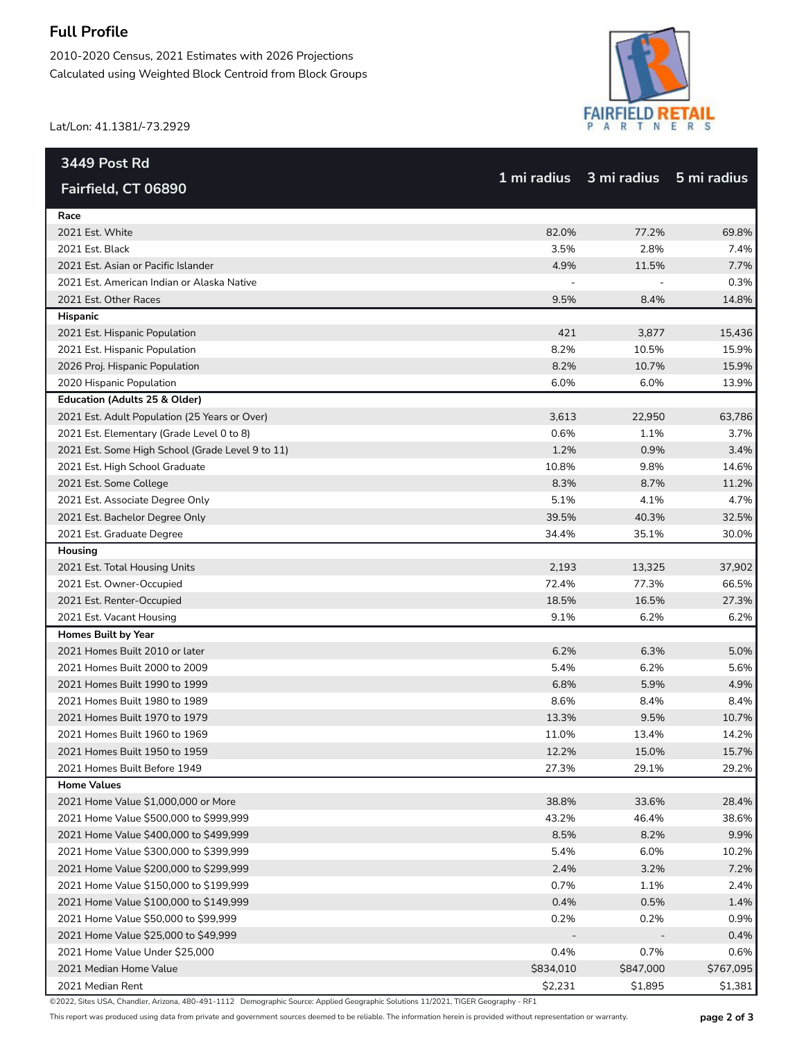## **Full Profile**

2010-2020 Census, 2021 Estimates with 2026 Projections Calculated using Weighted Block Centroid from Block Groups



Lat/Lon: 41.1381/-73.2929

| 3449 Post Rd                                     |           |                         |             |
|--------------------------------------------------|-----------|-------------------------|-------------|
| Fairfield, CT 06890                              |           | 1 mi radius 3 mi radius | 5 mi radius |
| Race                                             |           |                         |             |
| 2021 Est. White                                  | 82.0%     | 77.2%                   | 69.8%       |
| 2021 Est. Black                                  | 3.5%      | 2.8%                    | 7.4%        |
| 2021 Est. Asian or Pacific Islander              | 4.9%      | 11.5%                   | 7.7%        |
| 2021 Est. American Indian or Alaska Native       |           |                         | 0.3%        |
| 2021 Est. Other Races                            | 9.5%      | 8.4%                    | 14.8%       |
| Hispanic                                         |           |                         |             |
| 2021 Est. Hispanic Population                    | 421       | 3,877                   | 15,436      |
| 2021 Est. Hispanic Population                    | 8.2%      | 10.5%                   | 15.9%       |
| 2026 Proj. Hispanic Population                   | 8.2%      | 10.7%                   | 15.9%       |
| 2020 Hispanic Population                         | 6.0%      | 6.0%                    | 13.9%       |
| Education (Adults 25 & Older)                    |           |                         |             |
| 2021 Est. Adult Population (25 Years or Over)    | 3,613     | 22,950                  | 63,786      |
| 2021 Est. Elementary (Grade Level 0 to 8)        | 0.6%      | 1.1%                    | 3.7%        |
| 2021 Est. Some High School (Grade Level 9 to 11) | 1.2%      | 0.9%                    | 3.4%        |
| 2021 Est. High School Graduate                   | 10.8%     | 9.8%                    | 14.6%       |
| 2021 Est. Some College                           | 8.3%      | 8.7%                    | 11.2%       |
| 2021 Est. Associate Degree Only                  | 5.1%      | 4.1%                    | 4.7%        |
| 2021 Est. Bachelor Degree Only                   | 39.5%     | 40.3%                   | 32.5%       |
| 2021 Est. Graduate Degree                        | 34.4%     | 35.1%                   | 30.0%       |
| Housing                                          |           |                         |             |
| 2021 Est. Total Housing Units                    | 2,193     | 13,325                  | 37,902      |
| 2021 Est. Owner-Occupied                         | 72.4%     | 77.3%                   | 66.5%       |
| 2021 Est. Renter-Occupied                        | 18.5%     | 16.5%                   | 27.3%       |
| 2021 Est. Vacant Housing                         | 9.1%      | 6.2%                    | 6.2%        |
| <b>Homes Built by Year</b>                       |           |                         |             |
| 2021 Homes Built 2010 or later                   | 6.2%      | 6.3%                    | 5.0%        |
| 2021 Homes Built 2000 to 2009                    | 5.4%      | 6.2%                    | 5.6%        |
| 2021 Homes Built 1990 to 1999                    | 6.8%      | 5.9%                    | 4.9%        |
| 2021 Homes Built 1980 to 1989                    | 8.6%      | 8.4%                    | 8.4%        |
| 2021 Homes Built 1970 to 1979                    | 13.3%     | 9.5%                    | 10.7%       |
| 2021 Homes Built 1960 to 1969                    | 11.0%     | 13.4%                   | 14.2%       |
| 2021 Homes Built 1950 to 1959                    | 12.2%     | 15.0%                   | 15.7%       |
| 2021 Homes Built Before 1949                     | 27.3%     | 29.1%                   | 29.2%       |
| <b>Home Values</b>                               |           |                         |             |
| 2021 Home Value \$1,000,000 or More              | 38.8%     | 33.6%                   | 28.4%       |
| 2021 Home Value \$500,000 to \$999,999           | 43.2%     | 46.4%                   | 38.6%       |
| 2021 Home Value \$400,000 to \$499,999           | 8.5%      | 8.2%                    | 9.9%        |
| 2021 Home Value \$300,000 to \$399,999           | 5.4%      | 6.0%                    | 10.2%       |
| 2021 Home Value \$200,000 to \$299,999           | 2.4%      | 3.2%                    | 7.2%        |
| 2021 Home Value \$150,000 to \$199,999           | 0.7%      | 1.1%                    | 2.4%        |
| 2021 Home Value \$100,000 to \$149,999           | 0.4%      | 0.5%                    | 1.4%        |
| 2021 Home Value \$50,000 to \$99,999             | 0.2%      | 0.2%                    | 0.9%        |
| 2021 Home Value \$25,000 to \$49,999             |           |                         | 0.4%        |
| 2021 Home Value Under \$25,000                   | 0.4%      | 0.7%                    | 0.6%        |
| 2021 Median Home Value                           | \$834,010 | \$847,000               | \$767,095   |
| 2021 Median Rent                                 | \$2,231   | \$1,895                 | \$1,381     |

©2022, Sites USA, Chandler, Arizona, 480-491-1112 Demographic Source: Applied Geographic Solutions 11/2021, TIGER Geography - RF1

This report was produced using data from private and government sources deemed to be reliable. The information herein is provided without representation or warranty. **page 2 of 3**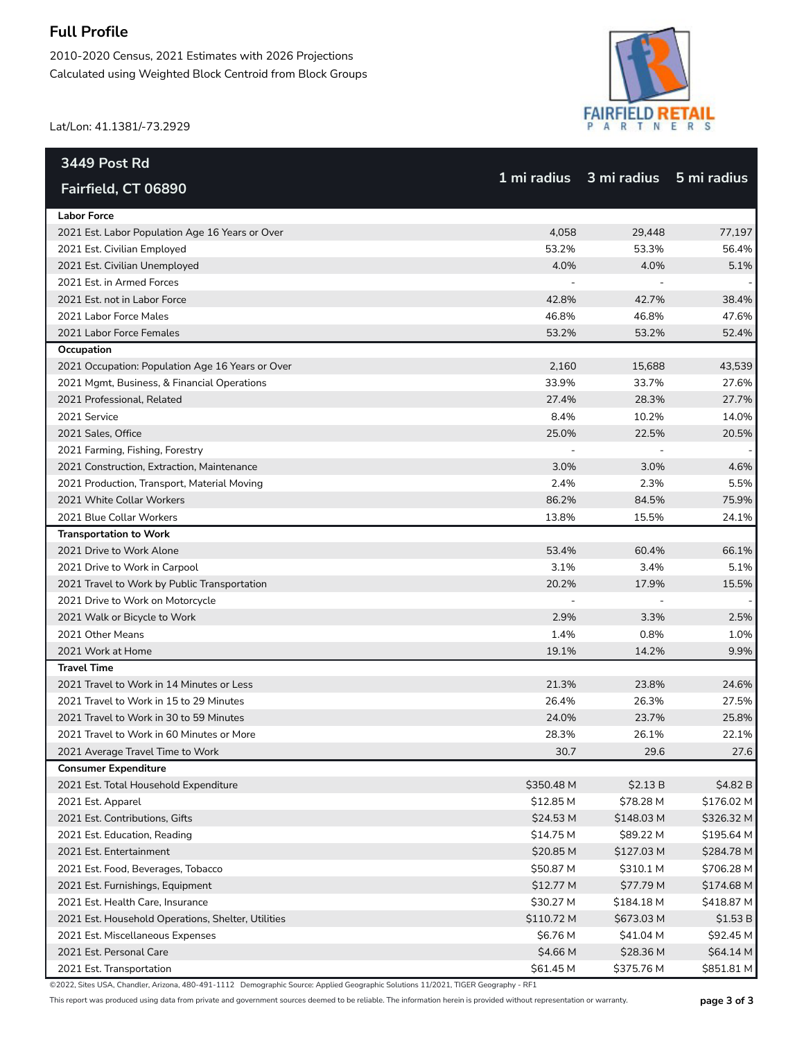## **Full Profile**

2010-2020 Census, 2021 Estimates with 2026 Projections Calculated using Weighted Block Centroid from Block Groups



Lat/Lon: 41.1381/-73.2929

| 3449 Post Rd                                       |            |                         |             |
|----------------------------------------------------|------------|-------------------------|-------------|
| Fairfield, CT 06890                                |            | 1 mi radius 3 mi radius | 5 mi radius |
| <b>Labor Force</b>                                 |            |                         |             |
| 2021 Est. Labor Population Age 16 Years or Over    | 4,058      | 29,448                  | 77,197      |
| 2021 Est. Civilian Employed                        | 53.2%      | 53.3%                   | 56.4%       |
| 2021 Est. Civilian Unemployed                      | 4.0%       | 4.0%                    | 5.1%        |
| 2021 Est. in Armed Forces                          |            |                         |             |
| 2021 Est. not in Labor Force                       | 42.8%      | 42.7%                   | 38.4%       |
| 2021 Labor Force Males                             | 46.8%      | 46.8%                   | 47.6%       |
| 2021 Labor Force Females                           | 53.2%      | 53.2%                   | 52.4%       |
| Occupation                                         |            |                         |             |
| 2021 Occupation: Population Age 16 Years or Over   | 2,160      | 15,688                  | 43,539      |
| 2021 Mgmt, Business, & Financial Operations        | 33.9%      | 33.7%                   | 27.6%       |
| 2021 Professional, Related                         | 27.4%      | 28.3%                   | 27.7%       |
| 2021 Service                                       | 8.4%       | 10.2%                   | 14.0%       |
| 2021 Sales, Office                                 | 25.0%      | 22.5%                   | 20.5%       |
| 2021 Farming, Fishing, Forestry                    |            |                         |             |
| 2021 Construction, Extraction, Maintenance         | 3.0%       | 3.0%                    | 4.6%        |
| 2021 Production, Transport, Material Moving        | 2.4%       | 2.3%                    | 5.5%        |
| 2021 White Collar Workers                          | 86.2%      | 84.5%                   | 75.9%       |
| 2021 Blue Collar Workers                           | 13.8%      | 15.5%                   | 24.1%       |
| <b>Transportation to Work</b>                      |            |                         |             |
| 2021 Drive to Work Alone                           | 53.4%      | 60.4%                   | 66.1%       |
| 2021 Drive to Work in Carpool                      | 3.1%       | 3.4%                    | 5.1%        |
| 2021 Travel to Work by Public Transportation       | 20.2%      | 17.9%                   | 15.5%       |
| 2021 Drive to Work on Motorcycle                   |            |                         |             |
| 2021 Walk or Bicycle to Work                       | 2.9%       | 3.3%                    | 2.5%        |
| 2021 Other Means                                   | 1.4%       | 0.8%                    | 1.0%        |
| 2021 Work at Home                                  | 19.1%      | 14.2%                   | 9.9%        |
| <b>Travel Time</b>                                 |            |                         |             |
| 2021 Travel to Work in 14 Minutes or Less          | 21.3%      | 23.8%                   | 24.6%       |
| 2021 Travel to Work in 15 to 29 Minutes            | 26.4%      | 26.3%                   | 27.5%       |
| 2021 Travel to Work in 30 to 59 Minutes            | 24.0%      | 23.7%                   | 25.8%       |
| 2021 Travel to Work in 60 Minutes or More          | 28.3%      | 26.1%                   | 22.1%       |
| 2021 Average Travel Time to Work                   | 30.7       | 29.6                    | 27.6        |
| <b>Consumer Expenditure</b>                        |            |                         |             |
| 2021 Est. Total Household Expenditure              | \$350.48 M | \$2.13 B                | \$4.82 B    |
| 2021 Est. Apparel                                  | \$12.85 M  | \$78.28 M               | \$176.02 M  |
| 2021 Est. Contributions, Gifts                     | \$24.53 M  | \$148.03 M              | \$326.32 M  |
| 2021 Est. Education, Reading                       | \$14.75 M  | \$89.22 M               | \$195.64 M  |
| 2021 Est. Entertainment                            | \$20.85 M  | \$127.03 M              | \$284.78 M  |
| 2021 Est. Food, Beverages, Tobacco                 | \$50.87 M  | \$310.1 M               | \$706.28 M  |
| 2021 Est. Furnishings, Equipment                   | \$12.77 M  | \$77.79 M               | \$174.68 M  |
| 2021 Est. Health Care, Insurance                   | \$30.27 M  | \$184.18 M              | \$418.87 M  |
| 2021 Est. Household Operations, Shelter, Utilities | \$110.72 M | \$673.03 M              | \$1.53 B    |
| 2021 Est. Miscellaneous Expenses                   | \$6.76 M   | \$41.04 M               | \$92.45 M   |
| 2021 Est. Personal Care                            | \$4.66 M   | \$28.36 M               | \$64.14 M   |
| 2021 Est. Transportation                           | \$61.45 M  | \$375.76 M              | \$851.81 M  |

©2022, Sites USA, Chandler, Arizona, 480-491-1112 Demographic Source: Applied Geographic Solutions 11/2021, TIGER Geography - RF1

This report was produced using data from private and government sources deemed to be reliable. The information herein is provided without representation or warranty. **page 3 of 3**